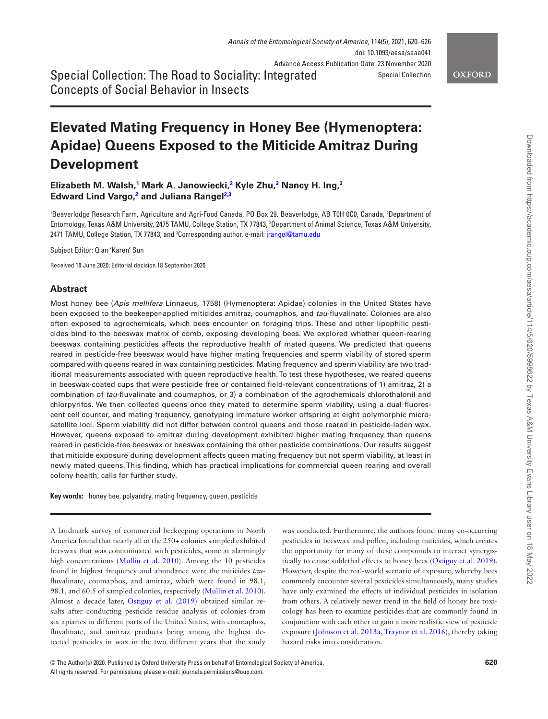Special Collection: The Road to Sociality: Integrated Concepts of Social Behavior in Insects

# **Elevated Mating Frequency in Honey Bee (Hymenoptera: Apidae) Queens Exposed to the Miticide Amitraz During Development**

**Elizabeth M. Walsh,[1](#page-0-0) Mark A. Janowiecki,[2](#page-0-1) Kyle Zhu,[2](#page-0-1) Nancy H. Ing[,3](#page-0-2) Edward Lind Vargo[,2](#page-0-1) and Juliana Rangel[2](#page-0-1)[,3](#page-0-2)**

<span id="page-0-2"></span><span id="page-0-1"></span><span id="page-0-0"></span>'Beaverlodge Research Farm, Agriculture and Agri-Food Canada, PO Box 29, Beaverlodge, AB T0H 0C0, Canada, 2Department of Entomology, Texas A&M University, 2475 TAMU, College Station, TX 77843, 3 Department of Animal Science, Texas A&M University, 2471 TAMU, College Station, TX 77843, and <sup>3</sup>Corresponding author, e-mail: [jrangel@tamu.edu](mailto:jrangel@tamu.edu?subject=)

Subject Editor: Qian 'Karen' Sun

Received 18 June 2020; Editorial decision 18 September 2020

## **Abstract**

Most honey bee (*Apis mellifera* Linnaeus, 1758) (Hymenoptera: Apidae) colonies in the United States have been exposed to the beekeeper-applied miticides amitraz, coumaphos, and *tau*-fluvalinate. Colonies are also often exposed to agrochemicals, which bees encounter on foraging trips. These and other lipophilic pesticides bind to the beeswax matrix of comb, exposing developing bees. We explored whether queen-rearing beeswax containing pesticides affects the reproductive health of mated queens. We predicted that queens reared in pesticide-free beeswax would have higher mating frequencies and sperm viability of stored sperm compared with queens reared in wax containing pesticides. Mating frequency and sperm viability are two traditional measurements associated with queen reproductive health. To test these hypotheses, we reared queens in beeswax-coated cups that were pesticide free or contained field-relevant concentrations of 1) amitraz, 2) a combination of *tau*-fluvalinate and coumaphos, or 3) a combination of the agrochemicals chlorothalonil and chlorpyrifos. We then collected queens once they mated to determine sperm viability, using a dual fluorescent cell counter, and mating frequency, genotyping immature worker offspring at eight polymorphic microsatellite loci. Sperm viability did not differ between control queens and those reared in pesticide-laden wax. However, queens exposed to amitraz during development exhibited higher mating frequency than queens reared in pesticide-free beeswax or beeswax containing the other pesticide combinations. Our results suggest that miticide exposure during development affects queen mating frequency but not sperm viability, at least in newly mated queens. This finding, which has practical implications for commercial queen rearing and overall colony health, calls for further study.

**Key words:** honey bee, polyandry, mating frequency, queen, pesticide

A landmark survey of commercial beekeeping operations in North America found that nearly all of the 250+ colonies sampled exhibited beeswax that was contaminated with pesticides, some at alarmingly high concentrations [\(Mullin et al. 2010](#page-5-0)). Among the 10 pesticides found in highest frequency and abundance were the miticides *tau*fluvalinate, coumaphos, and amitraz, which were found in 98.1, 98.1, and 60.5 of sampled colonies, respectively [\(Mullin et al. 2010](#page-5-0)). Almost a decade later, [Ostiguy et al. \(2019\)](#page-6-0) obtained similar results after conducting pesticide residue analysis of colonies from six apiaries in different parts of the United States, with coumaphos, fluvalinate, and amitraz products being among the highest detected pesticides in wax in the two different years that the study

was conducted. Furthermore, the authors found many co-occurring pesticides in beeswax and pollen, including miticides, which creates the opportunity for many of these compounds to interact synergistically to cause sublethal effects to honey bees ([Ostiguy et al. 2019](#page-6-0)). However, despite the real-world scenario of exposure, whereby bees commonly encounter several pesticides simultaneously, many studies have only examined the effects of individual pesticides in isolation from others. A relatively newer trend in the field of honey bee toxicology has been to examine pesticides that are commonly found in conjunction with each other to gain a more realistic view of pesticide exposure ([Johnson et al. 2013a,](#page-5-1) [Traynor et al. 2016](#page-6-1)), thereby taking hazard risks into consideration.

<sup>©</sup> The Author(s) 2020. Published by Oxford University Press on behalf of Entomological Society of America. **620**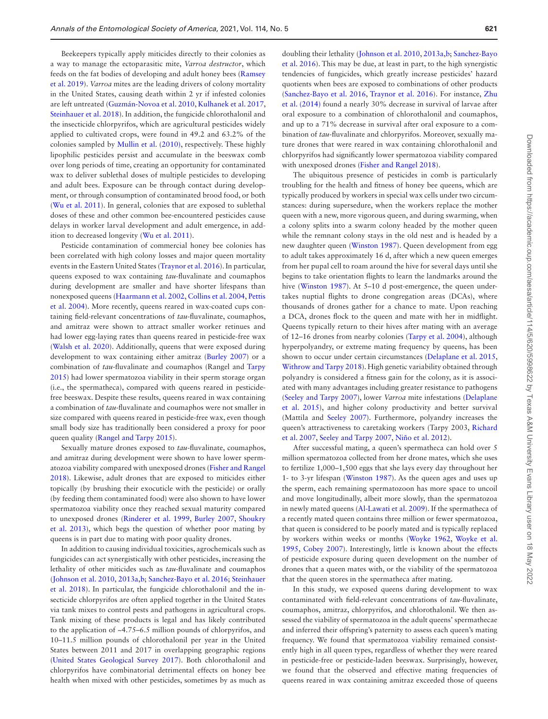Beekeepers typically apply miticides directly to their colonies as a way to manage the ectoparasitic mite, *Varroa destructor*, which feeds on the fat bodies of developing and adult honey bees [\(Ramsey](#page-6-2)  [et al. 2019\)](#page-6-2). *Varroa* mites are the leading drivers of colony mortality in the United States, causing death within 2 yr if infested colonies are left untreated ([Guzmán-Novoa et al. 2010,](#page-5-2) [Kulhanek et al. 2017,](#page-5-3) [Steinhauer et al. 2018](#page-6-3)). In addition, the fungicide chlorothalonil and the insecticide chlorpyrifos, which are agricultural pesticides widely applied to cultivated crops, were found in 49.2 and 63.2% of the colonies sampled by [Mullin et al. \(2010\)](#page-5-0), respectively. These highly lipophilic pesticides persist and accumulate in the beeswax comb over long periods of time, creating an opportunity for contaminated wax to deliver sublethal doses of multiple pesticides to developing and adult bees. Exposure can be through contact during development, or through consumption of contaminated brood food, or both [\(Wu et al. 2011\)](#page-6-4). In general, colonies that are exposed to sublethal doses of these and other common bee-encountered pesticides cause delays in worker larval development and adult emergence, in addition to decreased longevity ([Wu et al. 2011](#page-6-4)).

Pesticide contamination of commercial honey bee colonies has been correlated with high colony losses and major queen mortality events in the Eastern United States [\(Traynor et al. 2016\)](#page-6-1). In particular, queens exposed to wax containing *tau*-fluvalinate and coumaphos during development are smaller and have shorter lifespans than nonexposed queens ([Haarmann et al. 2002,](#page-5-4) [Collins et al. 2004](#page-5-5), [Pettis](#page-6-5)  [et al. 2004](#page-6-5)). More recently, queens reared in wax-coated cups containing field-relevant concentrations of *tau*-fluvalinate, coumaphos, and amitraz were shown to attract smaller worker retinues and had lower egg-laying rates than queens reared in pesticide-free wax [\(Walsh et al. 2020\)](#page-6-6). Additionally, queens that were exposed during development to wax containing either amitraz ([Burley 2007\)](#page-5-6) or a combination of *tau*-fluvalinate and coumaphos (Rangel and [Tarpy](#page-6-7)  [2015](#page-6-7)) had lower spermatozoa viability in their sperm storage organ (i.e., the spermatheca), compared with queens reared in pesticidefree beeswax. Despite these results, queens reared in wax containing a combination of *tau*-fluvalinate and coumaphos were not smaller in size compared with queens reared in pesticide-free wax, even though small body size has traditionally been considered a proxy for poor queen quality [\(Rangel and Tarpy 2015](#page-6-8)).

Sexually mature drones exposed to *tau*-fluvalinate, coumaphos, and amitraz during development were shown to have lower spermatozoa viability compared with unexposed drones ([Fisher and Rangel](#page-5-7)  [2018](#page-5-7)). Likewise, adult drones that are exposed to miticides either topically (by brushing their exocuticle with the pesticide) or orally (by feeding them contaminated food) were also shown to have lower spermatozoa viability once they reached sexual maturity compared to unexposed drones [\(Rinderer et al. 1999](#page-6-9), [Burley 2007,](#page-5-6) [Shoukry](#page-6-10)  [et al. 2013\)](#page-6-10), which begs the question of whether poor mating by queens is in part due to mating with poor quality drones.

In addition to causing individual toxicities, agrochemicals such as fungicides can act synergistically with other pesticides, increasing the lethality of other miticides such as *tau*-fluvalinate and coumaphos [\(Johnson et al. 2010](#page-5-8), [2013a](#page-5-1),[b](#page-5-9); [Sanchez-Bayo et al. 2016;](#page-6-11) [Steinhauer](#page-6-3)  [et al. 2018](#page-6-3)). In particular, the fungicide chlorothalonil and the insecticide chlorpyrifos are often applied together in the United States via tank mixes to control pests and pathogens in agricultural crops. Tank mixing of these products is legal and has likely contributed to the application of ~4.75–6.5 million pounds of chlorpyrifos, and 10–11.5 million pounds of chlorothalonil per year in the United States between 2011 and 2017 in overlapping geographic regions [\(United States Geological Survey 2017\)](#page-6-12). Both chlorothalonil and chlorpyrifos have combinatorial detrimental effects on honey bee health when mixed with other pesticides, sometimes by as much as

doubling their lethality ([Johnson et al. 2010,](#page-5-8) [2013a](#page-5-1)[,b;](#page-5-9) [Sanchez-Bayo](#page-6-11)  [et al. 2016](#page-6-11)). This may be due, at least in part, to the high synergistic tendencies of fungicides, which greatly increase pesticides' hazard quotients when bees are exposed to combinations of other products [\(Sanchez-Bayo et al. 2016,](#page-6-11) [Traynor et al. 2016\)](#page-6-1). For instance, [Zhu](#page-6-13)  [et al. \(2014\)](#page-6-13) found a nearly 30% decrease in survival of larvae after oral exposure to a combination of chlorothalonil and coumaphos, and up to a 71% decrease in survival after oral exposure to a combination of *tau*-fluvalinate and chlorpyrifos. Moreover, sexually mature drones that were reared in wax containing chlorothalonil and chlorpyrifos had significantly lower spermatozoa viability compared with unexposed drones ([Fisher and Rangel 2018\)](#page-5-7).

The ubiquitous presence of pesticides in comb is particularly troubling for the health and fitness of honey bee queens, which are typically produced by workers in special wax cells under two circumstances: during supersedure, when the workers replace the mother queen with a new, more vigorous queen, and during swarming, when a colony splits into a swarm colony headed by the mother queen while the remnant colony stays in the old nest and is headed by a new daughter queen ([Winston 1987](#page-6-14)). Queen development from egg to adult takes approximately 16 d, after which a new queen emerges from her pupal cell to roam around the hive for several days until she begins to take orientation flights to learn the landmarks around the hive ([Winston 1987\)](#page-6-14). At 5–10 d post-emergence, the queen undertakes nuptial flights to drone congregation areas (DCAs), where thousands of drones gather for a chance to mate. Upon reaching a DCA, drones flock to the queen and mate with her in midflight. Queens typically return to their hives after mating with an average of 12–16 drones from nearby colonies ([Tarpy et al. 2004](#page-6-15)), although hyperpolyandry, or extreme mating frequency by queens, has been shown to occur under certain circumstances ([Delaplane et al. 2015,](#page-5-10) [Withrow and Tarpy 2018](#page-6-16)). High genetic variability obtained through polyandry is considered a fitness gain for the colony, as it is associated with many advantages including greater resistance to pathogens [\(Seeley and Tarpy 2007](#page-6-17)), lower *Varroa* mite infestations ([Delaplane](#page-5-10)  [et al. 2015](#page-5-10)), and higher colony productivity and better survival (Mattila and [Seeley 2007](#page-6-17)). Furthermore, polyandry increases the queen's attractiveness to caretaking workers (Tarpy 2003, [Richard](#page-6-18)  [et al. 2007](#page-6-18), [Seeley and Tarpy 2007,](#page-6-17) [Niño et al. 2012](#page-6-19)).

After successful mating, a queen's spermatheca can hold over 5 million spermatozoa collected from her drone mates, which she uses to fertilize 1,000–1,500 eggs that she lays every day throughout her 1- to 3-yr lifespan ([Winston 1987\)](#page-6-14). As the queen ages and uses up the sperm, each remaining spermatozoon has more space to uncoil and move longitudinally, albeit more slowly, than the spermatozoa in newly mated queens [\(Al-Lawati et al. 2009\)](#page-5-11). If the spermatheca of a recently mated queen contains three million or fewer spermatozoa, that queen is considered to be poorly mated and is typically replaced by workers within weeks or months [\(Woyke 1962,](#page-6-20) [Woyke et al.](#page-6-21)  [1995](#page-6-21), [Cobey 2007\)](#page-5-12). Interestingly, little is known about the effects of pesticide exposure during queen development on the number of drones that a queen mates with, or the viability of the spermatozoa that the queen stores in the spermatheca after mating.

In this study, we exposed queens during development to wax contaminated with field-relevant concentrations of *tau-*fluvalinate, coumaphos, amitraz, chlorpyrifos, and chlorothalonil. We then assessed the viability of spermatozoa in the adult queens' spermathecae and inferred their offspring's paternity to assess each queen's mating frequency. We found that spermatozoa viability remained consistently high in all queen types, regardless of whether they were reared in pesticide-free or pesticide-laden beeswax. Surprisingly, however, we found that the observed and effective mating frequencies of queens reared in wax containing amitraz exceeded those of queens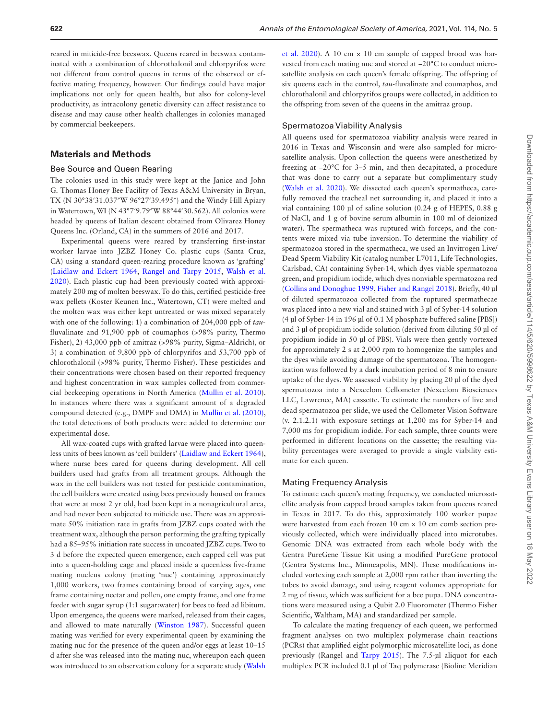reared in miticide-free beeswax. Queens reared in beeswax contaminated with a combination of chlorothalonil and chlorpyrifos were not different from control queens in terms of the observed or effective mating frequency, however. Our findings could have major implications not only for queen health, but also for colony-level productivity, as intracolony genetic diversity can affect resistance to disease and may cause other health challenges in colonies managed by commercial beekeepers.

# **Materials and Methods**

#### Bee Source and Queen Rearing

The colonies used in this study were kept at the Janice and John G. Thomas Honey Bee Facility of Texas A&M University in Bryan, TX (N 30°38′31.037″W 96°27′39.495″) and the Windy Hill Apiary in Watertown, WI (N 43°7′9.79″W 88°44′30.562). All colonies were headed by queens of Italian descent obtained from Olivarez Honey Queens Inc. (Orland, CA) in the summers of 2016 and 2017.

Experimental queens were reared by transferring first-instar worker larvae into JZBZ Honey Co. plastic cups (Santa Cruz, CA) using a standard queen-rearing procedure known as 'grafting' [\(Laidlaw and Eckert 1964](#page-5-13), [Rangel and Tarpy 2015](#page-6-8), [Walsh et al.](#page-6-6)  [2020](#page-6-6)). Each plastic cup had been previously coated with approximately 200 mg of molten beeswax. To do this, certified pesticide-free wax pellets (Koster Keunen Inc., Watertown, CT) were melted and the molten wax was either kept untreated or was mixed separately with one of the following: 1) a combination of 204,000 ppb of *tau*fluvalinate and 91,900 ppb of coumaphos (>98% purity, Thermo Fisher), 2) 43,000 ppb of amitraz (>98% purity, Sigma–Aldrich), or 3) a combination of 9,800 ppb of chlorpyrifos and 53,700 ppb of chlorothalonil (>98% purity, Thermo Fisher). These pesticides and their concentrations were chosen based on their reported frequency and highest concentration in wax samples collected from commercial beekeeping operations in North America [\(Mullin et al. 2010](#page-5-0)). In instances where there was a significant amount of a degraded compound detected (e.g., DMPF and DMA) in [Mullin et al. \(2010\),](#page-5-0) the total detections of both products were added to determine our experimental dose.

All wax-coated cups with grafted larvae were placed into queenless units of bees known as 'cell builders' [\(Laidlaw and Eckert 1964](#page-5-13)), where nurse bees cared for queens during development. All cell builders used had grafts from all treatment groups. Although the wax in the cell builders was not tested for pesticide contamination, the cell builders were created using bees previously housed on frames that were at most 2 yr old, had been kept in a nonagricultural area, and had never been subjected to miticide use. There was an approximate 50% initiation rate in grafts from JZBZ cups coated with the treatment wax, although the person performing the grafting typically had a 85–95% initiation rate success in uncoated JZBZ cups. Two to 3 d before the expected queen emergence, each capped cell was put into a queen-holding cage and placed inside a queenless five-frame mating nucleus colony (mating 'nuc') containing approximately 1,000 workers, two frames containing brood of varying ages, one frame containing nectar and pollen, one empty frame, and one frame feeder with sugar syrup (1:1 sugar:water) for bees to feed ad libitum. Upon emergence, the queens were marked, released from their cages, and allowed to mate naturally ([Winston 1987\)](#page-6-14). Successful queen mating was verified for every experimental queen by examining the mating nuc for the presence of the queen and/or eggs at least 10–15 d after she was released into the mating nuc, whereupon each queen was introduced to an observation colony for a separate study ([Walsh](#page-6-6) 

[et al. 2020](#page-6-6)). A 10 cm × 10 cm sample of capped brood was harvested from each mating nuc and stored at −20°C to conduct microsatellite analysis on each queen's female offspring. The offspring of six queens each in the control, *tau-*fluvalinate and coumaphos, and chlorothalonil and chlorpyrifos groups were collected, in addition to the offspring from seven of the queens in the amitraz group.

### Spermatozoa Viability Analysis

All queens used for spermatozoa viability analysis were reared in 2016 in Texas and Wisconsin and were also sampled for microsatellite analysis. Upon collection the queens were anesthetized by freezing at −20°C for 3–5 min, and then decapitated, a procedure that was done to carry out a separate but complimentary study [\(Walsh et al. 2020](#page-6-6)). We dissected each queen's spermatheca, carefully removed the tracheal net surrounding it, and placed it into a vial containing 100 µl of saline solution (0.24 g of HEPES, 0.88 g of NaCl, and 1 g of bovine serum albumin in 100 ml of deionized water). The spermatheca was ruptured with forceps, and the contents were mixed via tube inversion. To determine the viability of spermatozoa stored in the spermatheca, we used an Invitrogen Live/ Dead Sperm Viability Kit (catalog number L7011, Life Technologies, Carlsbad, CA) containing Syber-14, which dyes viable spermatozoa green, and propidium iodide, which dyes nonviable spermatozoa red [\(Collins and Donoghue 1999](#page-5-14), [Fisher and Rangel 2018\)](#page-5-7). Briefly, 40 µl of diluted spermatozoa collected from the ruptured spermathecae was placed into a new vial and stained with 3 µl of Syber-14 solution (4 µl of Syber-14 in 196 µl of 0.1 M phosphate buffered saline [PBS]) and 3 µl of propidium iodide solution (derived from diluting 50 µl of propidium iodide in 50 µl of PBS). Vials were then gently vortexed for approximately 2 s at 2,000 rpm to homogenize the samples and the dyes while avoiding damage of the spermatozoa. The homogenization was followed by a dark incubation period of 8 min to ensure uptake of the dyes. We assessed viability by placing 20 µl of the dyed spermatozoa into a Nexcelom Cellometer (Nexcelom Biosciences LLC, Lawrence, MA) cassette. To estimate the numbers of live and dead spermatozoa per slide, we used the Cellometer Vision Software (v. 2.1.2.1) with exposure settings at 1,200 ms for Syber-14 and 7,000 ms for propidium iodide. For each sample, three counts were performed in different locations on the cassette; the resulting viability percentages were averaged to provide a single viability estimate for each queen.

#### Mating Frequency Analysis

To estimate each queen's mating frequency, we conducted microsatellite analysis from capped brood samples taken from queens reared in Texas in 2017. To do this, approximately 100 worker pupae were harvested from each frozen 10 cm × 10 cm comb section previously collected, which were individually placed into microtubes. Genomic DNA was extracted from each whole body with the Gentra PureGene Tissue Kit using a modified PureGene protocol (Gentra Systems Inc., Minneapolis, MN). These modifications included vortexing each sample at 2,000 rpm rather than inverting the tubes to avoid damage, and using reagent volumes appropriate for 2 mg of tissue, which was sufficient for a bee pupa. DNA concentrations were measured using a Qubit 2.0 Fluorometer (Thermo Fisher Scientific, Waltham, MA) and standardized per sample.

To calculate the mating frequency of each queen, we performed fragment analyses on two multiplex polymerase chain reactions (PCRs) that amplified eight polymorphic microsatellite loci, as done previously (Rangel and [Tarpy 2015](#page-6-7)). The 7.5-µl aliquot for each multiplex PCR included 0.1 µl of Taq polymerase (Bioline Meridian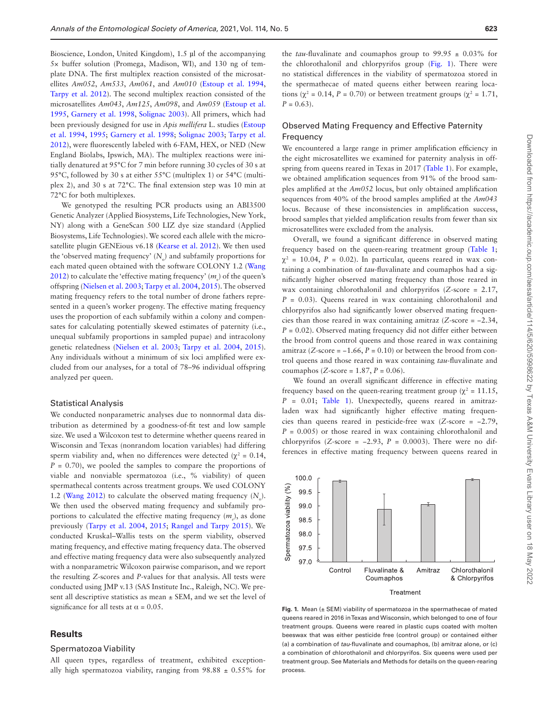Bioscience, London, United Kingdom), 1.5 µl of the accompanying 5× buffer solution (Promega, Madison, WI), and 130 ng of template DNA. The first multiplex reaction consisted of the microsatellites *Am052*, *Am533*, *Am061*, and *Am010* ([Estoup et al. 1994,](#page-5-15) [Tarpy et al. 2012](#page-6-22)). The second multiplex reaction consisted of the microsatellites *Am043*, *Am125*, *Am098*, and *Am059* ([Estoup et al.](#page-5-16)  [1995](#page-5-16), [Garnery et al. 1998](#page-5-17), [Solignac 2003\)](#page-6-23). All primers, which had been previously designed for use in *Apis mellifera* L. studies ([Estoup](#page-5-15)  [et al. 1994](#page-5-15), [1995;](#page-5-16) [Garnery et al. 1998](#page-5-17); [Solignac 2003;](#page-6-23) [Tarpy et al.](#page-6-22)  [2012](#page-6-22)), were fluorescently labeled with 6-FAM, HEX, or NED (New England Biolabs, Ipswich, MA). The multiplex reactions were initially denatured at 95°C for 7 min before running 30 cycles of 30 s at 95°C, followed by 30 s at either 55°C (multiplex 1) or 54°C (multiplex 2), and 30 s at 72°C. The final extension step was 10 min at 72°C for both multiplexes.

We genotyped the resulting PCR products using an ABI3500 Genetic Analyzer (Applied Biosystems, Life Technologies, New York, NY) along with a GeneScan 500 LIZ dye size standard (Applied Biosystems, Life Technologies). We scored each allele with the microsatellite plugin GENEious v6.18 [\(Kearse et al. 2012](#page-5-18)). We then used the 'observed mating frequency'  $(N_o)$  and subfamily proportions for each mated queen obtained with the software COLONY 1.2 ([Wang](#page-6-24)  [2012](#page-6-24)) to calculate the 'effective mating frequency'  $(m_e)$  of the queen's offspring [\(Nielsen et al. 2003;](#page-6-25) [Tarpy et al. 2004](#page-6-15), [2015\)](#page-6-7). The observed mating frequency refers to the total number of drone fathers represented in a queen's worker progeny. The effective mating frequency uses the proportion of each subfamily within a colony and compensates for calculating potentially skewed estimates of paternity (i.e., unequal subfamily proportions in sampled pupae) and intracolony genetic relatedness ([Nielsen et al. 2003;](#page-6-25) [Tarpy et al. 2004](#page-6-15), [2015](#page-6-7)). Any individuals without a minimum of six loci amplified were excluded from our analyses, for a total of 78–96 individual offspring analyzed per queen.

### Statistical Analysis

We conducted nonparametric analyses due to nonnormal data distribution as determined by a goodness-of-fit test and low sample size. We used a Wilcoxon test to determine whether queens reared in Wisconsin and Texas (nonrandom location variables) had differing sperm viability and, when no differences were detected ( $\chi^2 = 0.14$ ,  $P = 0.70$ , we pooled the samples to compare the proportions of viable and nonviable spermatozoa (i.e., % viability) of queen spermathecal contents across treatment groups. We used COLONY 1.2 [\(Wang 2012\)](#page-6-24) to calculate the observed mating frequency  $(N_0)$ . We then used the observed mating frequency and subfamily proportions to calculated the effective mating frequency ( $m_e$ ), as done previously [\(Tarpy et al. 2004,](#page-6-15) [2015;](#page-6-7) [Rangel and Tarpy 2015](#page-6-8)). We conducted Kruskal–Wallis tests on the sperm viability, observed mating frequency, and effective mating frequency data. The observed and effective mating frequency data were also subsequently analyzed with a nonparametric Wilcoxon pairwise comparison, and we report the resulting *Z*-scores and *P*-values for that analysis. All tests were conducted using JMP v.13 (SAS Institute Inc., Raleigh, NC). We present all descriptive statistics as mean ± SEM, and we set the level of significance for all tests at  $\alpha$  = 0.05.

# **Results**

#### Spermatozoa Viability

All queen types, regardless of treatment, exhibited exceptionally high spermatozoa viability, ranging from  $98.88 \pm 0.55\%$  for

the *tau*-fluvalinate and coumaphos group to 99.95 ± 0.03% for the chlorothalonil and chlorpyrifos group [\(Fig. 1](#page-3-0)). There were no statistical differences in the viability of spermatozoa stored in the spermathecae of mated queens either between rearing locations ( $\chi^2$  = 0.14, *P* = 0.70) or between treatment groups ( $\chi^2$  = 1.71,  $P = 0.63$ .

# Observed Mating Frequency and Effective Paternity Frequency

We encountered a large range in primer amplification efficiency in the eight microsatellites we examined for paternity analysis in offspring from queens reared in Texas in 2017 ([Table 1](#page-4-0)). For example, we obtained amplification sequences from 91% of the brood samples amplified at the *Am052* locus, but only obtained amplification sequences from 40% of the brood samples amplified at the *Am043* locus. Because of these inconsistencies in amplification success, brood samples that yielded amplification results from fewer than six microsatellites were excluded from the analysis.

Overall, we found a significant difference in observed mating frequency based on the queen-rearing treatment group [\(Table 1](#page-4-0);  $\chi^2$  = 10.04, *P* = 0.02). In particular, queens reared in wax containing a combination of *tau*-fluvalinate and coumaphos had a significantly higher observed mating frequency than those reared in wax containing chlorothalonil and chlorpyrifos (*Z*-score = 2.17,  $P = 0.03$ . Queens reared in wax containing chlorothalonil and chlorpyrifos also had significantly lower observed mating frequencies than those reared in wax containing amitraz (*Z*-score = −2.34,  $P = 0.02$ ). Observed mating frequency did not differ either between the brood from control queens and those reared in wax containing amitraz ( $Z$ -score =  $-1.66$ ,  $P = 0.10$ ) or between the brood from control queens and those reared in wax containing *tau*-fluvalinate and coumaphos (*Z*-score = 1.87, *P* = 0.06).

We found an overall significant difference in effective mating frequency based on the queen-rearing treatment group ( $\chi^2$  = 11.15, *P* = 0.01; [Table 1](#page-4-0)). Unexpectedly, queens reared in amitrazladen wax had significantly higher effective mating frequencies than queens reared in pesticide-free wax (*Z*-score = −2.79,  $P = 0.005$  or those reared in wax containing chlorothalonil and chlorpyrifos ( $Z$ -score =  $-2.93$ ,  $P = 0.0003$ ). There were no differences in effective mating frequency between queens reared in



<span id="page-3-0"></span>**Fig. 1.** Mean ( $\pm$  SEM) viability of spermatozoa in the spermathecae of mated queens reared in 2016 in Texas and Wisconsin, which belonged to one of four treatment groups. Queens were reared in plastic cups coated with molten beeswax that was either pesticide free (control group) or contained either (a) a combination of *tau*-fluvalinate and coumaphos, (b) amitraz alone, or (c) a combination of chlorothalonil and chlorpyrifos. Six queens were used per treatment group. See Materials and Methods for details on the queen-rearing process.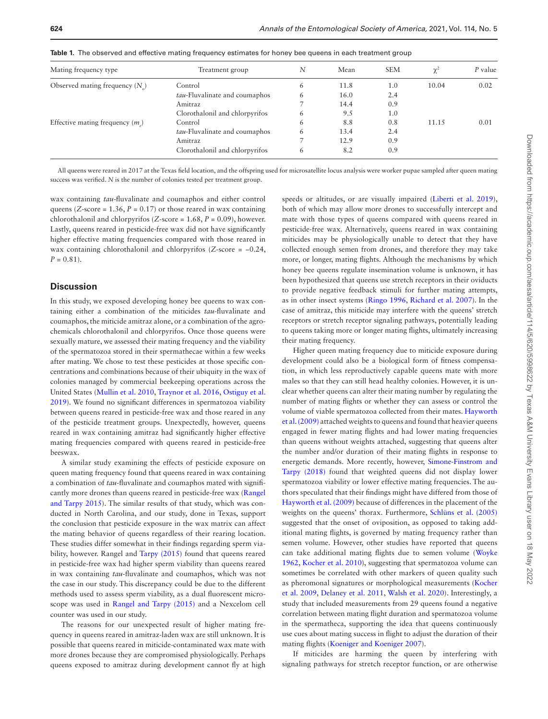| Mating frequency type              | Treatment group                | N | Mean | <b>SEM</b> | $\chi^2$ | P value |
|------------------------------------|--------------------------------|---|------|------------|----------|---------|
| Observed mating frequency $(N_a)$  | Control                        | 6 | 11.8 | 1.0        | 10.04    | 0.02    |
|                                    | tau-Fluvalinate and coumaphos  | 6 | 16.0 | 2.4        |          |         |
|                                    | Amitraz                        |   | 14.4 | 0.9        |          |         |
|                                    | Clorothalonil and chlorpyrifos | 6 | 9.5  | 1.0        |          |         |
| Effective mating frequency $(m_1)$ | Control                        | 6 | 8.8  | 0.8        | 11.15    | 0.01    |
|                                    | tau-Fluvalinate and coumaphos  | 6 | 13.4 | 2.4        |          |         |
|                                    | Amitraz                        |   | 12.9 | 0.9        |          |         |
|                                    | Clorothalonil and chlorpyrifos | 6 | 8.2  | 0.9        |          |         |

<span id="page-4-0"></span>**Table 1.** The observed and effective mating frequency estimates for honey bee queens in each treatment group

All queens were reared in 2017 at the Texas field location, and the offspring used for microsatellite locus analysis were worker pupae sampled after queen mating success was verified. *N* is the number of colonies tested per treatment group.

wax containing *tau-*fluvalinate and coumaphos and either control queens (*Z*-score = 1.36,  $P = 0.17$ ) or those reared in wax containing chlorothalonil and chlorpyrifos (*Z*-score = 1.68, *P* = 0.09), however. Lastly, queens reared in pesticide-free wax did not have significantly higher effective mating frequencies compared with those reared in wax containing chlorothalonil and chlorpyrifos (*Z*-score = −0.24,  $P = 0.81$ .

## **Discussion**

In this study, we exposed developing honey bee queens to wax containing either a combination of the miticides *tau*-fluvalinate and coumaphos, the miticide amitraz alone, or a combination of the agrochemicals chlorothalonil and chlorpyrifos. Once those queens were sexually mature, we assessed their mating frequency and the viability of the spermatozoa stored in their spermathecae within a few weeks after mating. We chose to test these pesticides at those specific concentrations and combinations because of their ubiquity in the wax of colonies managed by commercial beekeeping operations across the United States ([Mullin et al. 2010,](#page-5-0) [Traynor et al. 2016](#page-6-1), [Ostiguy et al.](#page-6-0)  [2019](#page-6-0)). We found no significant differences in spermatozoa viability between queens reared in pesticide-free wax and those reared in any of the pesticide treatment groups. Unexpectedly, however, queens reared in wax containing amitraz had significantly higher effective mating frequencies compared with queens reared in pesticide-free beeswax.

A similar study examining the effects of pesticide exposure on queen mating frequency found that queens reared in wax containing a combination of *tau-*fluvalinate and coumaphos mated with significantly more drones than queens reared in pesticide-free wax ([Rangel](#page-6-8)  [and Tarpy 2015\)](#page-6-8). The similar results of that study, which was conducted in North Carolina, and our study, done in Texas, support the conclusion that pesticide exposure in the wax matrix can affect the mating behavior of queens regardless of their rearing location. These studies differ somewhat in their findings regarding sperm viability, however. Rangel and [Tarpy \(2015\)](#page-6-7) found that queens reared in pesticide-free wax had higher sperm viability than queens reared in wax containing *tau-*fluvalinate and coumaphos, which was not the case in our study. This discrepancy could be due to the different methods used to assess sperm viability, as a dual fluorescent microscope was used in [Rangel and Tarpy \(2015\)](#page-6-8) and a Nexcelom cell counter was used in our study.

The reasons for our unexpected result of higher mating frequency in queens reared in amitraz-laden wax are still unknown. It is possible that queens reared in miticide-contaminated wax mate with more drones because they are compromised physiologically. Perhaps queens exposed to amitraz during development cannot fly at high

speeds or altitudes, or are visually impaired [\(Liberti et al. 2019](#page-5-19)), both of which may allow more drones to successfully intercept and mate with those types of queens compared with queens reared in pesticide-free wax. Alternatively, queens reared in wax containing miticides may be physiologically unable to detect that they have collected enough semen from drones, and therefore they may take more, or longer, mating flights. Although the mechanisms by which honey bee queens regulate insemination volume is unknown, it has been hypothesized that queens use stretch receptors in their oviducts to provide negative feedback stimuli for further mating attempts, as in other insect systems ([Ringo 1996](#page-6-26), [Richard et al. 2007](#page-6-18)). In the case of amitraz, this miticide may interfere with the queens' stretch receptors or stretch receptor signaling pathways, potentially leading to queens taking more or longer mating flights, ultimately increasing their mating frequency.

Higher queen mating frequency due to miticide exposure during development could also be a biological form of fitness compensation, in which less reproductively capable queens mate with more males so that they can still head healthy colonies. However, it is unclear whether queens can alter their mating number by regulating the number of mating flights or whether they can assess or control the volume of viable spermatozoa collected from their mates. [Hayworth](#page-5-20)  [et al. \(2009\)](#page-5-20) attached weights to queens and found that heavier queens engaged in fewer mating flights and had lower mating frequencies than queens without weights attached, suggesting that queens alter the number and/or duration of their mating flights in response to energetic demands. More recently, however, [Simone-Finstrom and](#page-6-27)  [Tarpy \(2018\)](#page-6-27) found that weighted queens did not display lower spermatozoa viability or lower effective mating frequencies. The authors speculated that their findings might have differed from those of [Hayworth et al. \(2009\)](#page-5-20) because of differences in the placement of the weights on the queens' thorax. Furthermore, [Schlüns et al. \(2005\)](#page-6-28) suggested that the onset of oviposition, as opposed to taking additional mating flights, is governed by mating frequency rather than semen volume. However, other studies have reported that queens can take additional mating flights due to semen volume ([Woyke](#page-6-20)  [1962](#page-6-20), [Kocher et al. 2010](#page-5-21)), suggesting that spermatozoa volume can sometimes be correlated with other markers of queen quality such as pheromonal signatures or morphological measurements ([Kocher](#page-5-22)  [et al. 2009](#page-5-22), [Delaney et al. 2011](#page-5-23), [Walsh et al. 2020\)](#page-6-6). Interestingly, a study that included measurements from 29 queens found a negative correlation between mating flight duration and spermatozoa volume in the spermatheca, supporting the idea that queens continuously use cues about mating success in flight to adjust the duration of their mating flights ([Koeniger and Koeniger 2007](#page-5-24)).

If miticides are harming the queen by interfering with signaling pathways for stretch receptor function, or are otherwise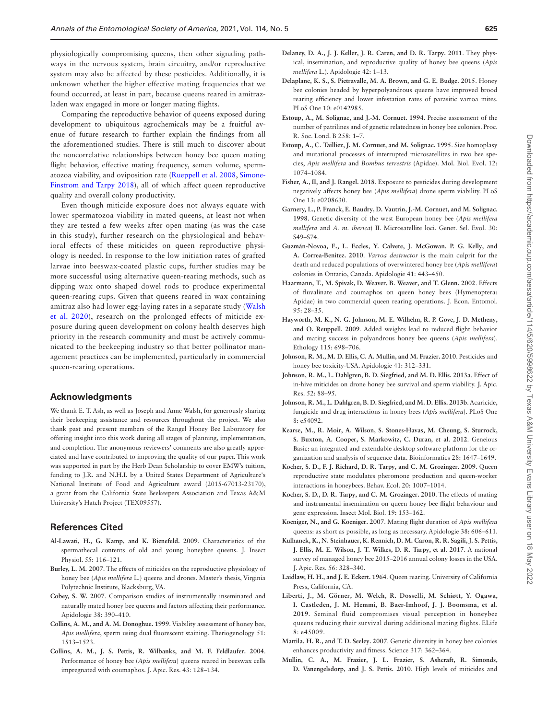physiologically compromising queens, then other signaling pathways in the nervous system, brain circuitry, and/or reproductive system may also be affected by these pesticides. Additionally, it is unknown whether the higher effective mating frequencies that we found occurred, at least in part, because queens reared in amitrazladen wax engaged in more or longer mating flights.

Comparing the reproductive behavior of queens exposed during development to ubiquitous agrochemicals may be a fruitful avenue of future research to further explain the findings from all the aforementioned studies. There is still much to discover about the noncorrelative relationships between honey bee queen mating flight behavior, effective mating frequency, semen volume, spermatozoa viability, and oviposition rate [\(Rueppell et al. 2008](#page-6-29), [Simone-](#page-6-27)[Finstrom and Tarpy 2018\)](#page-6-27), all of which affect queen reproductive quality and overall colony productivity.

Even though miticide exposure does not always equate with lower spermatozoa viability in mated queens, at least not when they are tested a few weeks after open mating (as was the case in this study), further research on the physiological and behavioral effects of these miticides on queen reproductive physiology is needed. In response to the low initiation rates of grafted larvae into beeswax-coated plastic cups, further studies may be more successful using alternative queen-rearing methods, such as dipping wax onto shaped dowel rods to produce experimental queen-rearing cups. Given that queens reared in wax containing amitraz also had lower egg-laying rates in a separate study ([Walsh](#page-6-6)  [et al. 2020](#page-6-6)), research on the prolonged effects of miticide exposure during queen development on colony health deserves high priority in the research community and must be actively communicated to the beekeeping industry so that better pollinator management practices can be implemented, particularly in commercial queen-rearing operations.

## **Acknowledgments**

We thank E. T. Ash, as well as Joseph and Anne Walsh, for generously sharing their beekeeping assistance and resources throughout the project. We also thank past and present members of the Rangel Honey Bee Laboratory for offering insight into this work during all stages of planning, implementation, and completion. The anonymous reviewers' comments are also greatly appreciated and have contributed to improving the quality of our paper. This work was supported in part by the Herb Dean Scholarship to cover EMW's tuition, funding to J.R. and N.H.I. by a United States Department of Agriculture's National Institute of Food and Agriculture award (2015-67013-23170), a grant from the California State Beekeepers Association and Texas A&M University's Hatch Project (TEX09557).

## **References Cited**

- <span id="page-5-11"></span>**Al-Lawati, H., G. Kamp, and K. Bienefeld. 2009**. Characteristics of the spermathecal contents of old and young honeybee queens. J. Insect Physiol. 55: 116–121.
- <span id="page-5-6"></span>**Burley, L. M. 2007**. The effects of miticides on the reproductive physiology of honey bee (*Apis mellifera* L.) queens and drones. Master's thesis, Virginia Polytechnic Institute, Blacksburg, VA.
- <span id="page-5-12"></span>**Cobey, S. W. 2007**. Comparison studies of instrumentally inseminated and naturally mated honey bee queens and factors affecting their performance. Apidologie 38: 390–410.
- <span id="page-5-14"></span>**Collins, A. M., and A. M. Donoghue. 1999**. Viability assessment of honey bee, *Apis mellifera*, sperm using dual fluorescent staining. Theriogenology 51: 1513–1523.
- <span id="page-5-5"></span>**Collins, A. M., J. S. Pettis, R. Wilbanks, and M. F. Feldlaufer. 2004**. Performance of honey bee (*Apis mellifera*) queens reared in beeswax cells impregnated with coumaphos. J. Apic. Res. 43: 128–134.
- <span id="page-5-23"></span>**Delaney, D. A., J. J. Keller, J. R. Caren, and D. R. Tarpy. 2011**. They physical, insemination, and reproductive quality of honey bee queens (*Apis mellifera* L.). Apidologie 42: 1–13.
- <span id="page-5-10"></span>**Delaplane, K. S., S. Pietravalle, M. A. Brown, and G. E. Budge. 2015**. Honey bee colonies headed by hyperpolyandrous queens have improved brood rearing efficiency and lower infestation rates of parasitic varroa mites. PLoS One 10: e0142985.
- <span id="page-5-15"></span>**Estoup, A., M. Solignac, and J.-M. Cornuet. 1994**. Precise assessment of the number of patrilines and of genetic relatedness in honey bee colonies. Proc. R. Soc. Lond. B 258: 1–7.
- <span id="page-5-16"></span>**Estoup, A., C. Tailliez, J. M. Cornuet, and M. Solignac. 1995**. Size homoplasy and mutational processes of interrupted microsatellites in two bee species, *Apis mellifera* and *Bombus terrestris* (Apidae). Mol. Biol. Evol. 12: 1074–1084.
- <span id="page-5-7"></span>**Fisher, A., II, and J. Rangel. 2018**. Exposure to pesticides during development negatively affects honey bee (*Apis mellifera*) drone sperm viability. PLoS One 13: e0208630.
- <span id="page-5-17"></span>**Garnery, L., P. Franck, E. Baudry, D. Vautrin, J.-M. Cornuet, and M. Solignac. 1998**. Genetic diversity of the west European honey bee (*Apis mellifera mellifera* and *A. m. iberica*) II. Microsatellite loci. Genet. Sel. Evol. 30: S49–S74.
- <span id="page-5-2"></span>**Guzmán-Novoa, E., L. Eccles, Y. Calvete, J. McGowan, P. G. Kelly, and A. Correa-Benitez. 2010**. *Varroa destructor* is the main culprit for the death and reduced populations of overwintered honey bee (*Apis mellifera*) colonies in Ontario, Canada. Apidologie 41: 443–450.
- <span id="page-5-4"></span>**Haarmann, T., M. Spivak, D. Weaver, B. Weaver, and T. Glenn. 2002**. Effects of fluvalinate and coumaphos on queen honey bees (Hymenoptera: Apidae) in two commercial queen rearing operations. J. Econ. Entomol. 95: 28–35.
- <span id="page-5-20"></span>**Hayworth, M. K., N. G. Johnson, M. E. Wilhelm, R. P. Gove, J. D. Metheny, and O. Reuppell. 2009**. Added weights lead to reduced flight behavior and mating success in polyandrous honey bee queens (*Apis mellifera*). Ethology 115: 698–706.
- <span id="page-5-8"></span>**Johnson, R. M., M. D. Ellis, C. A. Mullin, and M. Frazier. 2010**. Pesticides and honey bee toxicity-USA. Apidologie 41: 312–331.
- <span id="page-5-1"></span>**Johnson, R. M., L. Dahlgren, B. D. Siegfried, and M. D. Ellis. 2013a**. Effect of in-hive miticides on drone honey bee survival and sperm viability. J. Apic. Res. 52: 88–95.
- <span id="page-5-9"></span>**Johnson, R. M., L. Dahlgren, B. D. Siegfried, and M. D. Ellis. 2013b**. Acaricide, fungicide and drug interactions in honey bees (*Apis mellifera*). PLoS One 8: e54092.
- <span id="page-5-18"></span>**Kearse, M., R. Moir, A. Wilson, S. Stones-Havas, M. Cheung, S. Sturrock, S. Buxton, A. Cooper, S. Markowitz, C. Duran, et al**. **2012**. Geneious Basic: an integrated and extendable desktop software platform for the organization and analysis of sequence data. Bioinformatics 28: 1647–1649.
- <span id="page-5-22"></span>**Kocher, S. D., F. J. Richard, D. R. Tarpy, and C. M. Grozinger. 2009**. Queen reproductive state modulates pheromone production and queen-worker interactions in honeybees. Behav. Ecol. 20: 1007–1014.
- <span id="page-5-21"></span>**Kocher, S. D., D. R. Tarpy, and C. M. Grozinger. 2010**. The effects of mating and instrumental insemination on queen honey bee flight behaviour and gene expression. Insect Mol. Biol. 19: 153–162.
- <span id="page-5-24"></span>**Koeniger, N., and G. Koeniger. 2007**. Mating flight duration of *Apis mellifera* queens: as short as possible, as long as necessary. Apidologie 38: 606–611.
- <span id="page-5-3"></span>**Kulhanek, K., N. Steinhauer, K. Rennich, D. M. Caron, R. R. Sagili, J. S. Pettis, J. Ellis, M. E. Wilson, J. T. Wilkes, D. R. Tarpy, et al**. **2017**. A national survey of managed honey bee 2015–2016 annual colony losses in the USA. J. Apic. Res. 56: 328–340.
- <span id="page-5-13"></span>**Laidlaw, H. H., and J. E. Eckert. 1964**. Queen rearing. University of California Press, California, CA.
- <span id="page-5-19"></span>**Liberti, J., M. Görner, M. Welch, R. Dosselli, M. Schiøtt, Y. Ogawa, I. Castleden, J. M. Hemmi, B. Baer-Imhoof, J. J. Boomsma, et al**. **2019**. Seminal fluid compromises visual perception in honeybee queens reducing their survival during additional mating flights. ELife 8: e45009.
- **Mattila, H. R., and T. D. Seeley. 2007**. Genetic diversity in honey bee colonies enhances productivity and fitness. Science 317: 362–364.
- <span id="page-5-0"></span>**Mullin, C. A., M. Frazier, J. L. Frazier, S. Ashcraft, R. Simonds, D. Vanengelsdorp, and J. S. Pettis. 2010**. High levels of miticides and